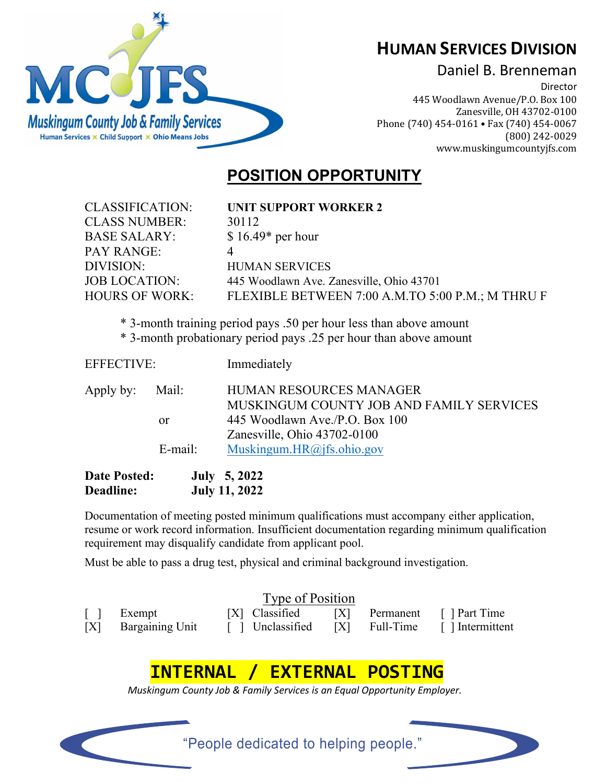

## **HUMAN SERVICES DIVISION**

### Daniel B. Brenneman

Director 445 Woodlawn Avenue/P.O. Box 100 Zanesville, OH 43702-0100 Phone (740) 454-0161 • Fax (740) 454-0067 (800) 242-0029 [www.muskingumcountyjfs.com](http://www.muskingumcountyjfs.com/)

## **POSITION OPPORTUNITY**

| <b>CLASSIFICATION:</b> | <b>UNIT SUPPORT WORKER 2</b>                                        |
|------------------------|---------------------------------------------------------------------|
| <b>CLASS NUMBER:</b>   | 30112                                                               |
| <b>BASE SALARY:</b>    | $$16.49*$ per hour                                                  |
| PAY RANGE:             |                                                                     |
| DIVISION:              | <b>HUMAN SERVICES</b>                                               |
| <b>JOB LOCATION:</b>   | 445 Woodlawn Ave. Zanesville, Ohio 43701                            |
| <b>HOURS OF WORK:</b>  | FLEXIBLE BETWEEN 7:00 A.M.TO 5:00 P.M.; M THRU F                    |
|                        | $*$ 3-month training period pays 50 per hour less than above amount |
|                        |                                                                     |

\* 3-month training period pays .50 per hour less than above amount

|  |  |  |  |  |  |  | * 3-month probationary period pays .25 per hour than above amount |
|--|--|--|--|--|--|--|-------------------------------------------------------------------|
|--|--|--|--|--|--|--|-------------------------------------------------------------------|

| <b>Date Posted:</b> |               | <b>July</b> 5, 2022                      |  |  |
|---------------------|---------------|------------------------------------------|--|--|
|                     | $E$ -mail:    | Muskingum.HR@jfs.ohio.gov                |  |  |
|                     |               | Zanesville, Ohio 43702-0100              |  |  |
|                     | <sub>or</sub> | 445 Woodlawn Ave./P.O. Box 100           |  |  |
|                     |               | MUSKINGUM COUNTY JOB AND FAMILY SERVICES |  |  |
| Apply by:           | Mail:         | <b>HUMAN RESOURCES MANAGER</b>           |  |  |
| <b>EFFECTIVE:</b>   |               | Immediately                              |  |  |

**Deadline: July 11, 2022**

Documentation of meeting posted minimum qualifications must accompany either application, resume or work record information. Insufficient documentation regarding minimum qualification requirement may disqualify candidate from applicant pool.

Must be able to pass a drug test, physical and criminal background investigation.

| Type of Position |                                                                     |  |  |  |  |                                                                                               |  |  |
|------------------|---------------------------------------------------------------------|--|--|--|--|-----------------------------------------------------------------------------------------------|--|--|
|                  | $\begin{bmatrix} \quad \end{bmatrix}$ Exempt<br>[X] Bargaining Unit |  |  |  |  | [X] Classified [X] Permanent [ ] Part Time<br>[ ] Unclassified [X] Full-Time [ ] Intermittent |  |  |

# **INTERNAL / EXTERNAL POSTING**

*Muskingum County Job & Family Services is an Equal Opportunity Employer.*

"People dedicated to helping people."